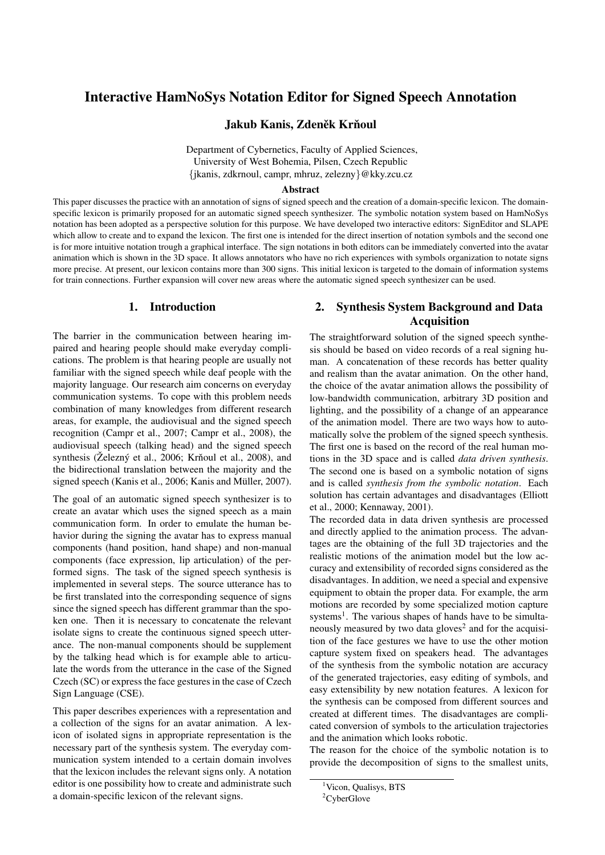# Interactive HamNoSys Notation Editor for Signed Speech Annotation

Jakub Kanis, Zdeněk Krňoul

Department of Cybernetics, Faculty of Applied Sciences, University of West Bohemia, Pilsen, Czech Republic {jkanis, zdkrnoul, campr, mhruz, zelezny}@kky.zcu.cz

#### Abstract

This paper discusses the practice with an annotation of signs of signed speech and the creation of a domain-specific lexicon. The domainspecific lexicon is primarily proposed for an automatic signed speech synthesizer. The symbolic notation system based on HamNoSys notation has been adopted as a perspective solution for this purpose. We have developed two interactive editors: SignEditor and SLAPE which allow to create and to expand the lexicon. The first one is intended for the direct insertion of notation symbols and the second one is for more intuitive notation trough a graphical interface. The sign notations in both editors can be immediately converted into the avatar animation which is shown in the 3D space. It allows annotators who have no rich experiences with symbols organization to notate signs more precise. At present, our lexicon contains more than 300 signs. This initial lexicon is targeted to the domain of information systems for train connections. Further expansion will cover new areas where the automatic signed speech synthesizer can be used.

#### 1. Introduction

The barrier in the communication between hearing impaired and hearing people should make everyday complications. The problem is that hearing people are usually not familiar with the signed speech while deaf people with the majority language. Our research aim concerns on everyday communication systems. To cope with this problem needs combination of many knowledges from different research areas, for example, the audiovisual and the signed speech recognition (Campr et al., 2007; Campr et al., 2008), the audiovisual speech (talking head) and the signed speech synthesis (Železný et al., 2006; Krňoul et al., 2008), and the bidirectional translation between the majority and the signed speech (Kanis et al., 2006; Kanis and Müller, 2007).

The goal of an automatic signed speech synthesizer is to create an avatar which uses the signed speech as a main communication form. In order to emulate the human behavior during the signing the avatar has to express manual components (hand position, hand shape) and non-manual components (face expression, lip articulation) of the performed signs. The task of the signed speech synthesis is implemented in several steps. The source utterance has to be first translated into the corresponding sequence of signs since the signed speech has different grammar than the spoken one. Then it is necessary to concatenate the relevant isolate signs to create the continuous signed speech utterance. The non-manual components should be supplement by the talking head which is for example able to articulate the words from the utterance in the case of the Signed Czech (SC) or express the face gestures in the case of Czech Sign Language (CSE).

This paper describes experiences with a representation and a collection of the signs for an avatar animation. A lexicon of isolated signs in appropriate representation is the necessary part of the synthesis system. The everyday communication system intended to a certain domain involves that the lexicon includes the relevant signs only. A notation editor is one possibility how to create and administrate such a domain-specific lexicon of the relevant signs.

## 2. Synthesis System Background and Data Acquisition

The straightforward solution of the signed speech synthesis should be based on video records of a real signing human. A concatenation of these records has better quality and realism than the avatar animation. On the other hand, the choice of the avatar animation allows the possibility of low-bandwidth communication, arbitrary 3D position and lighting, and the possibility of a change of an appearance of the animation model. There are two ways how to automatically solve the problem of the signed speech synthesis. The first one is based on the record of the real human motions in the 3D space and is called *data driven synthesis*. The second one is based on a symbolic notation of signs and is called *synthesis from the symbolic notation*. Each solution has certain advantages and disadvantages (Elliott et al., 2000; Kennaway, 2001).

The recorded data in data driven synthesis are processed and directly applied to the animation process. The advantages are the obtaining of the full 3D trajectories and the realistic motions of the animation model but the low accuracy and extensibility of recorded signs considered as the disadvantages. In addition, we need a special and expensive equipment to obtain the proper data. For example, the arm motions are recorded by some specialized motion capture systems<sup>1</sup>. The various shapes of hands have to be simultaneously measured by two data gloves<sup>2</sup> and for the acquisition of the face gestures we have to use the other motion capture system fixed on speakers head. The advantages of the synthesis from the symbolic notation are accuracy of the generated trajectories, easy editing of symbols, and easy extensibility by new notation features. A lexicon for the synthesis can be composed from different sources and created at different times. The disadvantages are complicated conversion of symbols to the articulation trajectories and the animation which looks robotic.

The reason for the choice of the symbolic notation is to provide the decomposition of signs to the smallest units,

<sup>&</sup>lt;sup>1</sup>Vicon, Qualisys, BTS

<sup>&</sup>lt;sup>2</sup>CyberGlove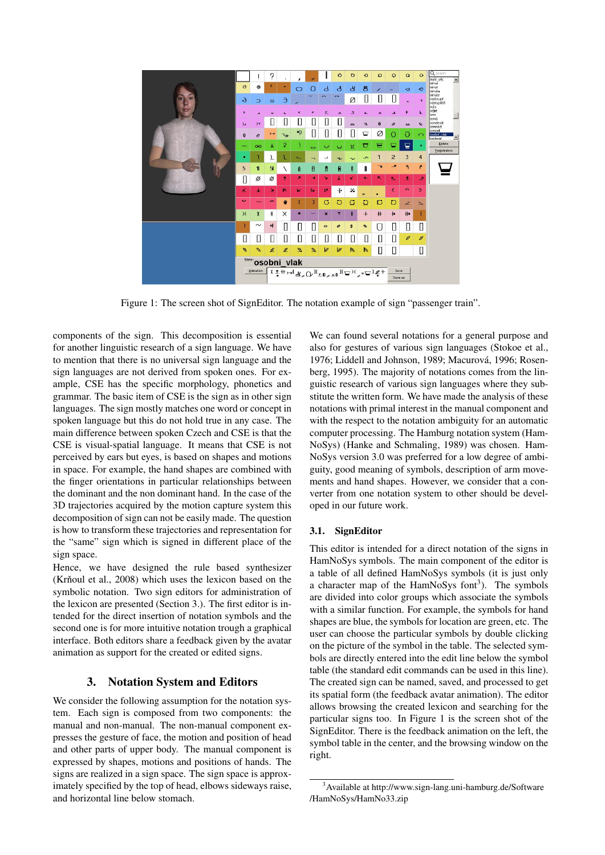

Figure 1: The screen shot of SignEditor. The notation example of sign "passenger train".

components of the sign. This decomposition is essential for another linguistic research of a sign language. We have to mention that there is no universal sign language and the sign languages are not derived from spoken ones. For example, CSE has the specific morphology, phonetics and grammar. The basic item of CSE is the sign as in other sign languages. The sign mostly matches one word or concept in spoken language but this do not hold true in any case. The main difference between spoken Czech and CSE is that the CSE is visual-spatial language. It means that CSE is not perceived by ears but eyes, is based on shapes and motions in space. For example, the hand shapes are combined with the finger orientations in particular relationships between the dominant and the non dominant hand. In the case of the 3D trajectories acquired by the motion capture system this decomposition of sign can not be easily made. The question is how to transform these trajectories and representation for the "same" sign which is signed in different place of the sign space.

Hence, we have designed the rule based synthesizer  $(Kr\text{ n}$ oul et al., 2008) which uses the lexicon based on the symbolic notation. Two sign editors for administration of the lexicon are presented (Section 3.). The first editor is intended for the direct insertion of notation symbols and the second one is for more intuitive notation trough a graphical interface. Both editors share a feedback given by the avatar animation as support for the created or edited signs.

#### 3. Notation System and Editors

We consider the following assumption for the notation system. Each sign is composed from two components: the manual and non-manual. The non-manual component expresses the gesture of face, the motion and position of head and other parts of upper body. The manual component is expressed by shapes, motions and positions of hands. The signs are realized in a sign space. The sign space is approximately specified by the top of head, elbows sideways raise, and horizontal line below stomach.

We can found several notations for a general purpose and also for gestures of various sign languages (Stokoe et al., 1976; Liddell and Johnson, 1989; Macurová, 1996; Rosenberg, 1995). The majority of notations comes from the linguistic research of various sign languages where they substitute the written form. We have made the analysis of these notations with primal interest in the manual component and with the respect to the notation ambiguity for an automatic computer processing. The Hamburg notation system (Ham-NoSys) (Hanke and Schmaling, 1989) was chosen. Ham-NoSys version 3.0 was preferred for a low degree of ambiguity, good meaning of symbols, description of arm movements and hand shapes. However, we consider that a converter from one notation system to other should be developed in our future work.

#### 3.1. SignEditor

This editor is intended for a direct notation of the signs in HamNoSys symbols. The main component of the editor is a table of all defined HamNoSys symbols (it is just only a character map of the HamNoSys font<sup>3</sup>). The symbols are divided into color groups which associate the symbols with a similar function. For example, the symbols for hand shapes are blue, the symbols for location are green, etc. The user can choose the particular symbols by double clicking on the picture of the symbol in the table. The selected symbols are directly entered into the edit line below the symbol table (the standard edit commands can be used in this line). The created sign can be named, saved, and processed to get its spatial form (the feedback avatar animation). The editor allows browsing the created lexicon and searching for the particular signs too. In Figure 1 is the screen shot of the SignEditor. There is the feedback animation on the left, the symbol table in the center, and the browsing window on the right.

<sup>3</sup>Available at http://www.sign-lang.uni-hamburg.de/Software /HamNoSys/HamNo33.zip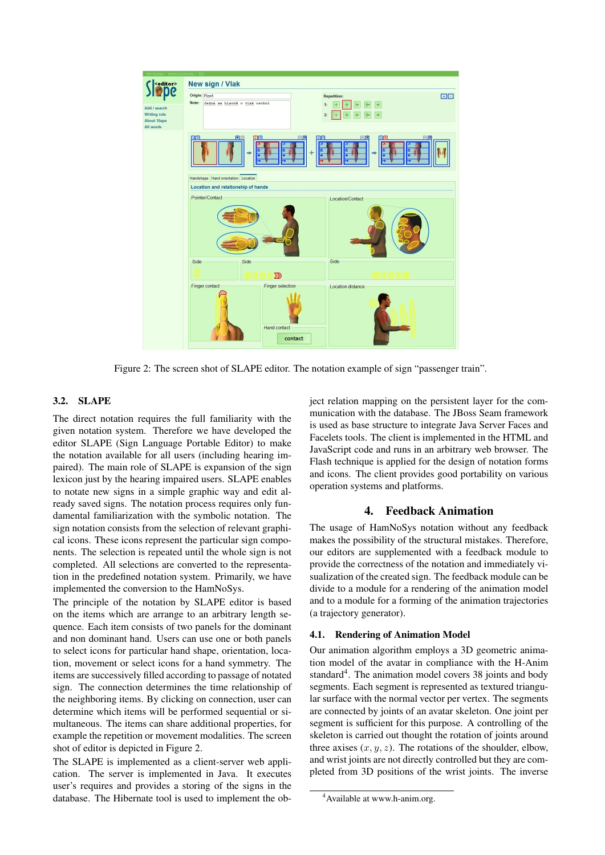

Figure 2: The screen shot of SLAPE editor. The notation example of sign "passenger train".

#### 3.2. SLAPE

The direct notation requires the full familiarity with the given notation system. Therefore we have developed the editor SLAPE (Sign Language Portable Editor) to make the notation available for all users (including hearing impaired). The main role of SLAPE is expansion of the sign lexicon just by the hearing impaired users. SLAPE enables to notate new signs in a simple graphic way and edit already saved signs. The notation process requires only fundamental familiarization with the symbolic notation. The sign notation consists from the selection of relevant graphical icons. These icons represent the particular sign components. The selection is repeated until the whole sign is not completed. All selections are converted to the representation in the predefined notation system. Primarily, we have implemented the conversion to the HamNoSys.

The principle of the notation by SLAPE editor is based on the items which are arrange to an arbitrary length sequence. Each item consists of two panels for the dominant and non dominant hand. Users can use one or both panels to select icons for particular hand shape, orientation, location, movement or select icons for a hand symmetry. The items are successively filled according to passage of notated sign. The connection determines the time relationship of the neighboring items. By clicking on connection, user can determine which items will be performed sequential or simultaneous. The items can share additional properties, for example the repetition or movement modalities. The screen shot of editor is depicted in Figure 2.

The SLAPE is implemented as a client-server web application. The server is implemented in Java. It executes user's requires and provides a storing of the signs in the database. The Hibernate tool is used to implement the object relation mapping on the persistent layer for the communication with the database. The JBoss Seam framework is used as base structure to integrate Java Server Faces and Facelets tools. The client is implemented in the HTML and JavaScript code and runs in an arbitrary web browser. The Flash technique is applied for the design of notation forms and icons. The client provides good portability on various operation systems and platforms.

### 4. Feedback Animation

The usage of HamNoSys notation without any feedback makes the possibility of the structural mistakes. Therefore, our editors are supplemented with a feedback module to provide the correctness of the notation and immediately visualization of the created sign. The feedback module can be divide to a module for a rendering of the animation model and to a module for a forming of the animation trajectories (a trajectory generator).

#### 4.1. Rendering of Animation Model

Our animation algorithm employs a 3D geometric animation model of the avatar in compliance with the H-Anim standard<sup>4</sup>. The animation model covers 38 joints and body segments. Each segment is represented as textured triangular surface with the normal vector per vertex. The segments are connected by joints of an avatar skeleton. One joint per segment is sufficient for this purpose. A controlling of the skeleton is carried out thought the rotation of joints around three axises  $(x, y, z)$ . The rotations of the shoulder, elbow, and wrist joints are not directly controlled but they are completed from 3D positions of the wrist joints. The inverse

<sup>&</sup>lt;sup>4</sup> Available at www.h-anim.org.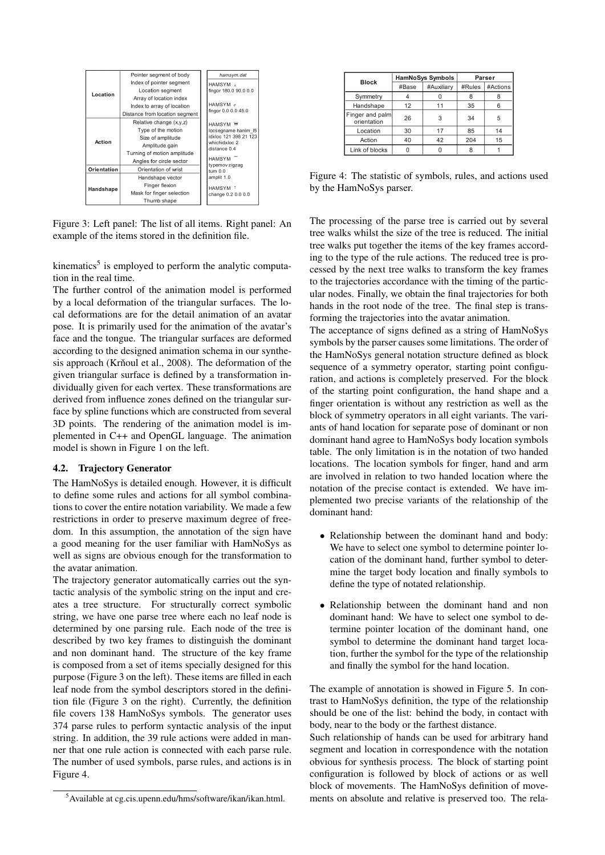

Figure 3: Left panel: The list of all items. Right panel: An example of the items stored in the definition file.

kinematics<sup>5</sup> is employed to perform the analytic computation in the real time.

The further control of the animation model is performed by a local deformation of the triangular surfaces. The local deformations are for the detail animation of an avatar pose. It is primarily used for the animation of the avatar's face and the tongue. The triangular surfaces are deformed according to the designed animation schema in our synthesis approach (Krňoul et al.,  $2008$ ). The deformation of the given triangular surface is defined by a transformation individually given for each vertex. These transformations are derived from influence zones defined on the triangular surface by spline functions which are constructed from several 3D points. The rendering of the animation model is implemented in C++ and OpenGL language. The animation model is shown in Figure 1 on the left.

#### 4.2. Trajectory Generator

The HamNoSys is detailed enough. However, it is difficult to define some rules and actions for all symbol combinations to cover the entire notation variability. We made a few restrictions in order to preserve maximum degree of freedom. In this assumption, the annotation of the sign have a good meaning for the user familiar with HamNoSys as well as signs are obvious enough for the transformation to the avatar animation.

The trajectory generator automatically carries out the syntactic analysis of the symbolic string on the input and creates a tree structure. For structurally correct symbolic string, we have one parse tree where each no leaf node is determined by one parsing rule. Each node of the tree is described by two key frames to distinguish the dominant and non dominant hand. The structure of the key frame is composed from a set of items specially designed for this purpose (Figure 3 on the left). These items are filled in each leaf node from the symbol descriptors stored in the definition file (Figure 3 on the right). Currently, the definition file covers 138 HamNoSys symbols. The generator uses 374 parse rules to perform syntactic analysis of the input string. In addition, the 39 rule actions were added in manner that one rule action is connected with each parse rule. The number of used symbols, parse rules, and actions is in Figure 4.

| <b>Block</b>                   | <b>HamNoSys Symbols</b> |            | Parser |          |
|--------------------------------|-------------------------|------------|--------|----------|
|                                | #Base                   | #Auxiliary | #Rules | #Actions |
| Symmetry                       |                         |            | 8      |          |
| Handshape                      | 12                      | 11         | 35     | 6        |
| Finger and palm<br>orientation | 26                      | 3          | 34     | 5        |
| Location                       | 30                      | 17         | 85     | 14       |
| Action                         | 40                      | 42         | 204    | 15       |
| Link of blocks                 |                         |            | 8      |          |

Figure 4: The statistic of symbols, rules, and actions used by the HamNoSys parser.

The processing of the parse tree is carried out by several tree walks whilst the size of the tree is reduced. The initial tree walks put together the items of the key frames according to the type of the rule actions. The reduced tree is processed by the next tree walks to transform the key frames to the trajectories accordance with the timing of the particular nodes. Finally, we obtain the final trajectories for both hands in the root node of the tree. The final step is transforming the trajectories into the avatar animation.

The acceptance of signs defined as a string of HamNoSys symbols by the parser causes some limitations. The order of the HamNoSys general notation structure defined as block sequence of a symmetry operator, starting point configuration, and actions is completely preserved. For the block of the starting point configuration, the hand shape and a finger orientation is without any restriction as well as the block of symmetry operators in all eight variants. The variants of hand location for separate pose of dominant or non dominant hand agree to HamNoSys body location symbols table. The only limitation is in the notation of two handed locations. The location symbols for finger, hand and arm are involved in relation to two handed location where the notation of the precise contact is extended. We have implemented two precise variants of the relationship of the dominant hand:

- Relationship between the dominant hand and body: We have to select one symbol to determine pointer location of the dominant hand, further symbol to determine the target body location and finally symbols to define the type of notated relationship.
- Relationship between the dominant hand and non dominant hand: We have to select one symbol to determine pointer location of the dominant hand, one symbol to determine the dominant hand target location, further the symbol for the type of the relationship and finally the symbol for the hand location.

The example of annotation is showed in Figure 5. In contrast to HamNoSys definition, the type of the relationship should be one of the list: behind the body, in contact with body, near to the body or the farthest distance.

Such relationship of hands can be used for arbitrary hand segment and location in correspondence with the notation obvious for synthesis process. The block of starting point configuration is followed by block of actions or as well block of movements. The HamNoSys definition of movements on absolute and relative is preserved too. The rela-

<sup>5</sup>Available at cg.cis.upenn.edu/hms/software/ikan/ikan.html.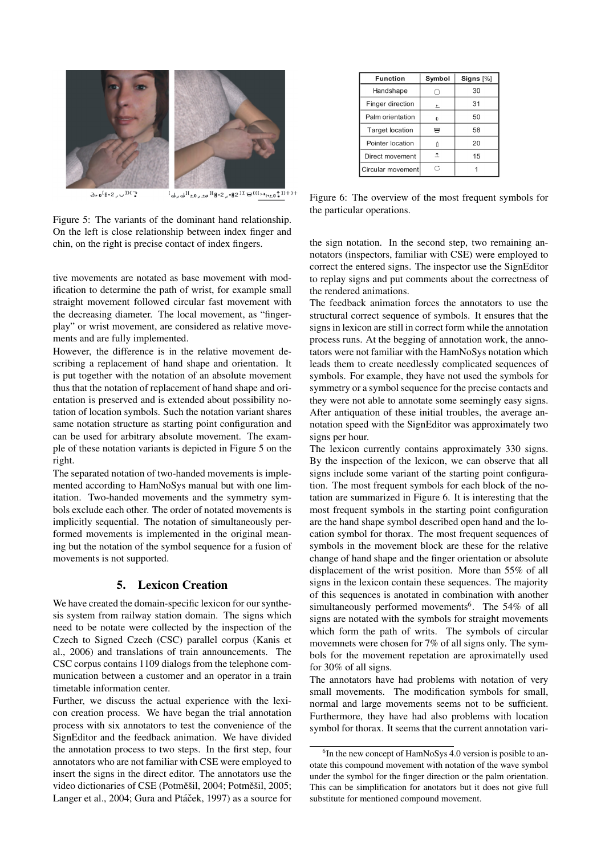

 $\lambda_{\text{r}}$ <sup>[A-2</sup>,  $\cup$ <sup>DC</sup>]  $L_{\mathbf{d}_{\times}\mathbf{d}}\mathbf{H}_{\mathbf{r},\mathbf{0}_{\times}\mathbf{2}\sigma}\mathbf{H}_{\mathbf{\theta}\circ\mathbf{2}_{\times}\mathbf{e}\mathbf{B}}\mathbf{2}\mathbf{1}\chi_{\mathbf{H}}(L_{\mathbf{r},\mathbf{r}})$ 

Figure 5: The variants of the dominant hand relationship. On the left is close relationship between index finger and chin, on the right is precise contact of index fingers.

tive movements are notated as base movement with modification to determine the path of wrist, for example small straight movement followed circular fast movement with the decreasing diameter. The local movement, as "fingerplay" or wrist movement, are considered as relative movements and are fully implemented.

However, the difference is in the relative movement describing a replacement of hand shape and orientation. It is put together with the notation of an absolute movement thus that the notation of replacement of hand shape and orientation is preserved and is extended about possibility notation of location symbols. Such the notation variant shares same notation structure as starting point configuration and can be used for arbitrary absolute movement. The example of these notation variants is depicted in Figure 5 on the right.

The separated notation of two-handed movements is implemented according to HamNoSys manual but with one limitation. Two-handed movements and the symmetry symbols exclude each other. The order of notated movements is implicitly sequential. The notation of simultaneously performed movements is implemented in the original meaning but the notation of the symbol sequence for a fusion of movements is not supported.

### 5. Lexicon Creation

We have created the domain-specific lexicon for our synthesis system from railway station domain. The signs which need to be notate were collected by the inspection of the Czech to Signed Czech (CSC) parallel corpus (Kanis et al., 2006) and translations of train announcements. The CSC corpus contains 1109 dialogs from the telephone communication between a customer and an operator in a train timetable information center.

Further, we discuss the actual experience with the lexicon creation process. We have began the trial annotation process with six annotators to test the convenience of the SignEditor and the feedback animation. We have divided the annotation process to two steps. In the first step, four annotators who are not familiar with CSE were employed to insert the signs in the direct editor. The annotators use the video dictionaries of CSE (Potměšil, 2004; Potměšil, 2005; Langer et al., 2004; Gura and Ptáček, 1997) as a source for

| Function               | Symbol     | Signs [%] |
|------------------------|------------|-----------|
| Handshape              |            | 30        |
| Finger direction       | 드          | 31        |
| Palm orientation       | $\Omega$   | 50        |
| <b>Target location</b> |            | 58        |
| Pointer location       |            | 20        |
| Direct movement        | $\uparrow$ | 15        |
| Circular movement      | B          |           |

Figure 6: The overview of the most frequent symbols for the particular operations.

the sign notation. In the second step, two remaining annotators (inspectors, familiar with CSE) were employed to correct the entered signs. The inspector use the SignEditor to replay signs and put comments about the correctness of the rendered animations.

The feedback animation forces the annotators to use the structural correct sequence of symbols. It ensures that the signs in lexicon are still in correct form while the annotation process runs. At the begging of annotation work, the annotators were not familiar with the HamNoSys notation which leads them to create needlessly complicated sequences of symbols. For example, they have not used the symbols for symmetry or a symbol sequence for the precise contacts and they were not able to annotate some seemingly easy signs. After antiquation of these initial troubles, the average annotation speed with the SignEditor was approximately two signs per hour.

The lexicon currently contains approximately 330 signs. By the inspection of the lexicon, we can observe that all signs include some variant of the starting point configuration. The most frequent symbols for each block of the notation are summarized in Figure 6. It is interesting that the most frequent symbols in the starting point configuration are the hand shape symbol described open hand and the location symbol for thorax. The most frequent sequences of symbols in the movement block are these for the relative change of hand shape and the finger orientation or absolute displacement of the wrist position. More than 55% of all signs in the lexicon contain these sequences. The majority of this sequences is anotated in combination with another simultaneously performed movements<sup>6</sup>. The 54% of all signs are notated with the symbols for straight movements which form the path of writs. The symbols of circular movemnets were chosen for 7% of all signs only. The symbols for the movement repetation are aproximatelly used for 30% of all signs.

The annotators have had problems with notation of very small movements. The modification symbols for small, normal and large movements seems not to be sufficient. Furthermore, they have had also problems with location symbol for thorax. It seems that the current annotation vari-

<sup>&</sup>lt;sup>6</sup>In the new concept of HamNoSys 4.0 version is posible to anotate this compound movement with notation of the wave symbol under the symbol for the finger direction or the palm orientation. This can be simplification for anotators but it does not give full substitute for mentioned compound movement.